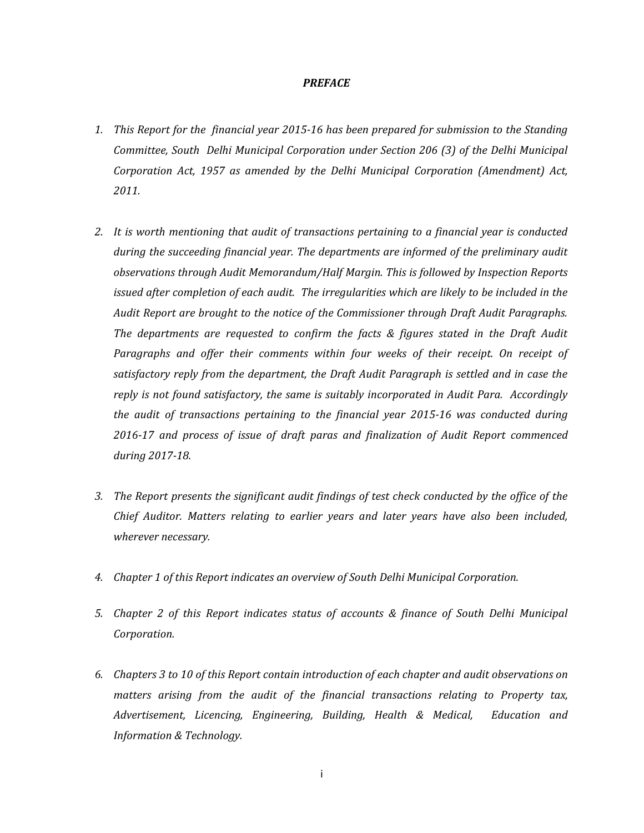#### *PREFACE*

- *1. This Report for the financial year 2015-16 has been prepared for submission to the Standing Committee, South Delhi Municipal Corporation under Section 206 (3) of the Delhi Municipal Corporation Act, 1957 as amended by the Delhi Municipal Corporation (Amendment) Act, 2011.*
- *2. It is worth mentioning that audit of transactions pertaining to a financial year is conducted during the succeeding financial year. The departments are informed of the preliminary audit observations through Audit Memorandum/Half Margin. This is followed by Inspection Reports issued after completion of each audit. The irregularities which are likely to be included in the Audit Report are brought to the notice of the Commissioner through Draft Audit Paragraphs. The departments are requested to confirm the facts & figures stated in the Draft Audit*  Paragraphs and offer their comments within four weeks of their receipt. On receipt of *satisfactory reply from the department, the Draft Audit Paragraph is settled and in case the reply is not found satisfactory, the same is suitably incorporated in Audit Para. Accordingly the audit of transactions pertaining to the financial year 2015-16 was conducted during 2016-17 and process of issue of draft paras and finalization of Audit Report commenced during 2017-18.*
- *3. The Report presents the significant audit findings of test check conducted by the office of the Chief Auditor. Matters relating to earlier years and later years have also been included, wherever necessary.*
- *4. Chapter 1 of this Report indicates an overview of South Delhi Municipal Corporation.*
- *5. Chapter 2 of this Report indicates status of accounts & finance of South Delhi Municipal Corporation.*
- *6. Chapters 3 to 10 of this Report contain introduction of each chapter and audit observations on matters arising from the audit of the financial transactions relating to Property tax, Advertisement, Licencing, Engineering, Building, Health & Medical, Education and Information & Technology.*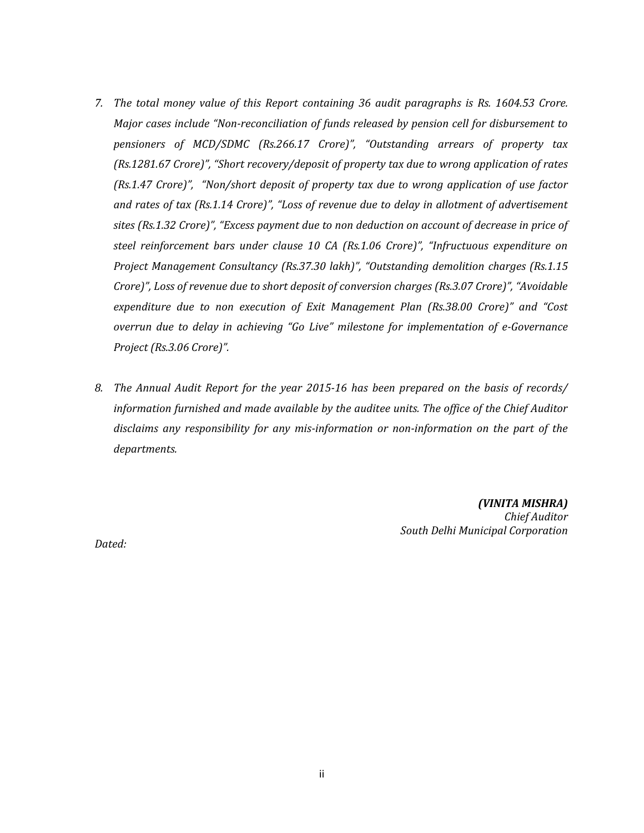- *7. The total money value of this Report containing 36 audit paragraphs is Rs. 1604.53 Crore. Major cases include "Non-reconciliation of funds released by pension cell for disbursement to pensioners of MCD/SDMC (Rs.266.17 Crore)", "Outstanding arrears of property tax (Rs.1281.67 Crore)", "Short recovery/deposit of property tax due to wrong application of rates (Rs.1.47 Crore)", "Non/short deposit of property tax due to wrong application of use factor and rates of tax (Rs.1.14 Crore)", "Loss of revenue due to delay in allotment of advertisement sites (Rs.1.32 Crore)", "Excess payment due to non deduction on account of decrease in price of steel reinforcement bars under clause 10 CA (Rs.1.06 Crore)", "Infructuous expenditure on Project Management Consultancy (Rs.37.30 lakh)", "Outstanding demolition charges (Rs.1.15 Crore)", Loss of revenue due to short deposit of conversion charges (Rs.3.07 Crore)", "Avoidable expenditure due to non execution of Exit Management Plan (Rs.38.00 Crore)" and "Cost overrun due to delay in achieving "Go Live" milestone for implementation of e-Governance Project (Rs.3.06 Crore)".*
- *8. The Annual Audit Report for the year 2015-16 has been prepared on the basis of records/ information furnished and made available by the auditee units. The office of the Chief Auditor disclaims any responsibility for any mis-information or non-information on the part of the departments.*

*(VINITA MISHRA) Chief Auditor South Delhi Municipal Corporation*

*Dated:*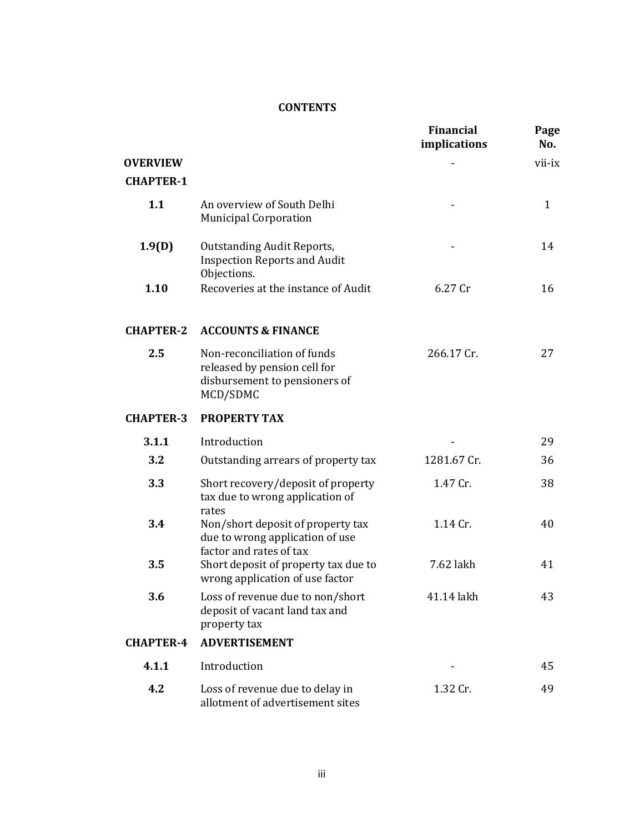## **CONTENTS**

| <b>OVERVIEW</b><br><b>CHAPTER-1</b> |                                                                                                          | <b>Financial</b><br>implications | Page<br>No.<br>vii-ix |
|-------------------------------------|----------------------------------------------------------------------------------------------------------|----------------------------------|-----------------------|
| 1.1                                 | An overview of South Delhi<br><b>Municipal Corporation</b>                                               |                                  | $\mathbf{1}$          |
| 1.9(D)                              | <b>Outstanding Audit Reports,</b><br><b>Inspection Reports and Audit</b>                                 |                                  | 14                    |
| 1.10                                | Objections.<br>Recoveries at the instance of Audit                                                       | 6.27 Cr                          | 16                    |
| <b>CHAPTER-2</b>                    | <b>ACCOUNTS &amp; FINANCE</b>                                                                            |                                  |                       |
| 2.5                                 | Non-reconciliation of funds<br>released by pension cell for<br>disbursement to pensioners of<br>MCD/SDMC | 266.17 Cr.                       | 27                    |
| <b>CHAPTER-3</b>                    | <b>PROPERTY TAX</b>                                                                                      |                                  |                       |
| 3.1.1                               | Introduction                                                                                             |                                  | 29                    |
| 3.2                                 | Outstanding arrears of property tax                                                                      | 1281.67 Cr.                      | 36                    |
| 3.3                                 | Short recovery/deposit of property<br>tax due to wrong application of                                    | 1.47 Cr.                         | 38                    |
| 3.4                                 | rates<br>Non/short deposit of property tax<br>due to wrong application of use                            | 1.14 Cr.                         | 40                    |
| 3.5                                 | factor and rates of tax<br>Short deposit of property tax due to<br>wrong application of use factor       | 7.62 lakh                        | 41                    |
| 3.6                                 | Loss of revenue due to non/short<br>deposit of vacant land tax and<br>property tax                       | 41.14 lakh                       | 43                    |
| <b>CHAPTER-4</b>                    | <b>ADVERTISEMENT</b>                                                                                     |                                  |                       |
| 4.1.1                               | Introduction                                                                                             |                                  | 45                    |
| 4.2                                 | Loss of revenue due to delay in<br>allotment of advertisement sites                                      | 1.32 Cr.                         | 49                    |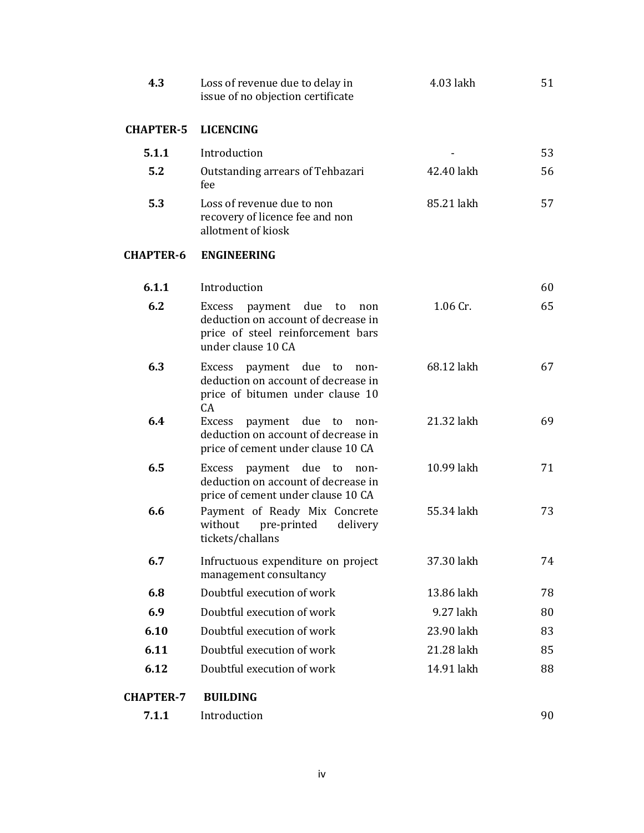| 4.3              | Loss of revenue due to delay in<br>issue of no objection certificate                                                              | 4.03 lakh  | 51 |
|------------------|-----------------------------------------------------------------------------------------------------------------------------------|------------|----|
| <b>CHAPTER-5</b> | <b>LICENCING</b>                                                                                                                  |            |    |
| 5.1.1            | Introduction                                                                                                                      |            | 53 |
| 5.2              | Outstanding arrears of Tehbazari<br>fee                                                                                           | 42.40 lakh | 56 |
| 5.3              | Loss of revenue due to non<br>recovery of licence fee and non<br>allotment of kiosk                                               | 85.21 lakh | 57 |
| <b>CHAPTER-6</b> | <b>ENGINEERING</b>                                                                                                                |            |    |
| 6.1.1            | Introduction                                                                                                                      |            | 60 |
| 6.2              | Excess payment due<br>to<br>non<br>deduction on account of decrease in<br>price of steel reinforcement bars<br>under clause 10 CA | 1.06 Cr.   | 65 |
| 6.3              | Excess payment due<br>to<br>non-<br>deduction on account of decrease in<br>price of bitumen under clause 10<br>CA                 | 68.12 lakh | 67 |
| 6.4              | Excess payment due to<br>non-<br>deduction on account of decrease in<br>price of cement under clause 10 CA                        | 21.32 lakh | 69 |
| 6.5              | payment due<br>Excess<br>to<br>non-<br>deduction on account of decrease in<br>price of cement under clause 10 CA                  | 10.99 lakh | 71 |
| 6.6              | Payment of Ready Mix Concrete<br>without<br>pre-printed<br>delivery<br>tickets/challans                                           | 55.34 lakh | 73 |
| 6.7              | Infructuous expenditure on project<br>management consultancy                                                                      | 37.30 lakh | 74 |
| 6.8              | Doubtful execution of work                                                                                                        | 13.86 lakh | 78 |
| 6.9              | Doubtful execution of work                                                                                                        | 9.27 lakh  | 80 |
| 6.10             | Doubtful execution of work                                                                                                        | 23.90 lakh | 83 |
| 6.11             | Doubtful execution of work                                                                                                        | 21.28 lakh | 85 |
| 6.12             | Doubtful execution of work                                                                                                        | 14.91 lakh | 88 |
| <b>CHAPTER-7</b> | <b>BUILDING</b>                                                                                                                   |            |    |
| 7.1.1            | Introduction                                                                                                                      |            | 90 |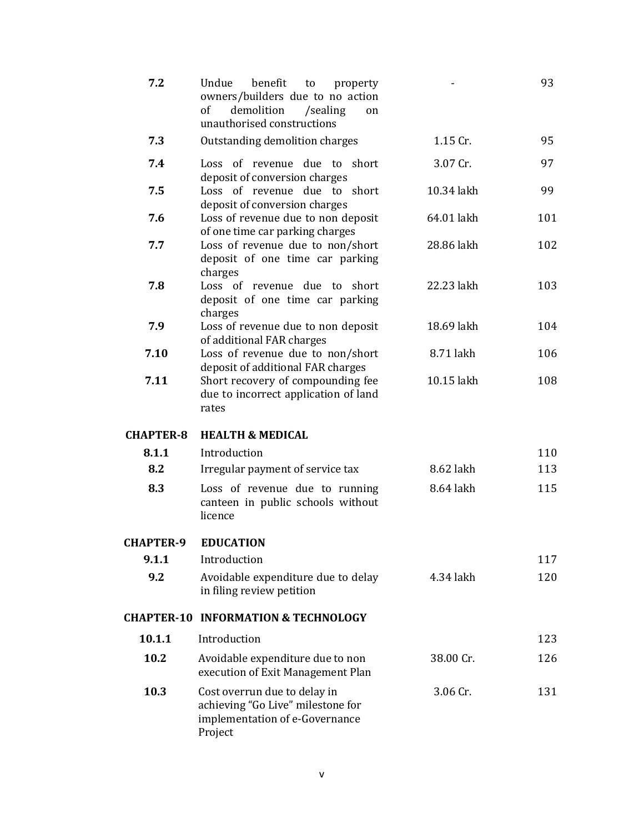| 7.2              | benefit<br>Undue<br>to<br>property<br>owners/builders due to no action<br>demolition<br>of<br>/sealing<br>on<br>unauthorised constructions |            | 93  |
|------------------|--------------------------------------------------------------------------------------------------------------------------------------------|------------|-----|
| 7.3              | Outstanding demolition charges                                                                                                             | 1.15 Cr.   | 95  |
| 7.4              | Loss of revenue due to short<br>deposit of conversion charges                                                                              | 3.07 Cr.   | 97  |
| 7.5              | Loss of revenue due to short<br>deposit of conversion charges                                                                              | 10.34 lakh | 99  |
| 7.6              | Loss of revenue due to non deposit<br>of one time car parking charges                                                                      | 64.01 lakh | 101 |
| 7.7              | Loss of revenue due to non/short<br>deposit of one time car parking<br>charges                                                             | 28.86 lakh | 102 |
| 7.8              | Loss of revenue due to short<br>deposit of one time car parking<br>charges                                                                 | 22.23 lakh | 103 |
| 7.9              | Loss of revenue due to non deposit<br>of additional FAR charges                                                                            | 18.69 lakh | 104 |
| 7.10             | Loss of revenue due to non/short<br>deposit of additional FAR charges                                                                      | 8.71 lakh  | 106 |
| 7.11             | Short recovery of compounding fee<br>due to incorrect application of land<br>rates                                                         | 10.15 lakh | 108 |
| <b>CHAPTER-8</b> | <b>HEALTH &amp; MEDICAL</b>                                                                                                                |            |     |
| 8.1.1            | Introduction                                                                                                                               |            | 110 |
| 8.2              | Irregular payment of service tax                                                                                                           | 8.62 lakh  | 113 |
| 8.3              | Loss of revenue due to running<br>canteen in public schools without<br>licence                                                             | 8.64 lakh  | 115 |
| <b>CHAPTER-9</b> | <b>EDUCATION</b>                                                                                                                           |            |     |
| 9.1.1            | Introduction                                                                                                                               |            | 117 |
| 9.2              | Avoidable expenditure due to delay<br>in filing review petition                                                                            | 4.34 lakh  | 120 |
|                  | <b>CHAPTER-10 INFORMATION &amp; TECHNOLOGY</b>                                                                                             |            |     |
| 10.1.1           | Introduction                                                                                                                               |            | 123 |
| 10.2             | Avoidable expenditure due to non<br>execution of Exit Management Plan                                                                      | 38.00 Cr.  | 126 |
| 10.3             | Cost overrun due to delay in<br>achieving "Go Live" milestone for<br>implementation of e-Governance<br>Project                             | 3.06 Cr.   | 131 |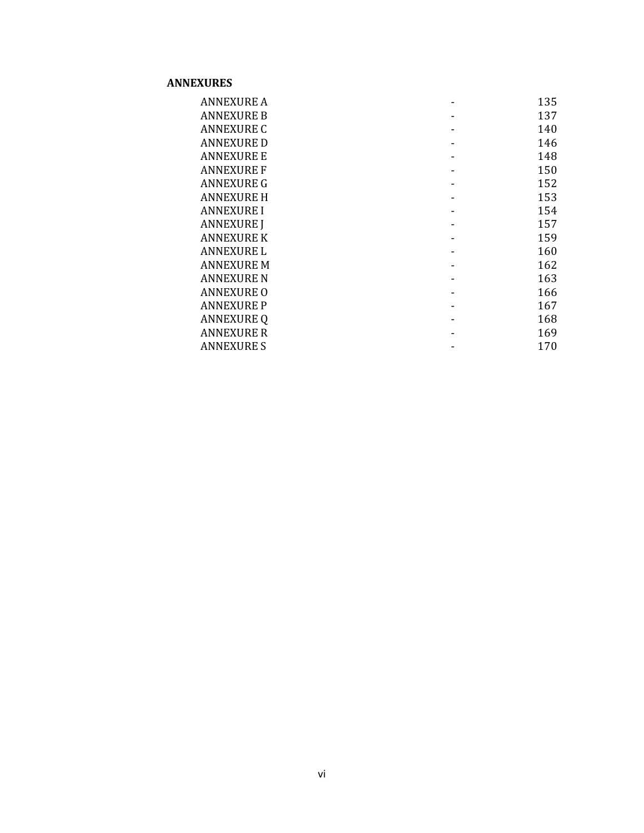## **ANNEXURES**

| <b>ANNEXURE A</b> | 135 |
|-------------------|-----|
| <b>ANNEXURE B</b> | 137 |
| <b>ANNEXURE C</b> | 140 |
| <b>ANNEXURE D</b> | 146 |
| <b>ANNEXURE E</b> | 148 |
| <b>ANNEXURE F</b> | 150 |
| <b>ANNEXURE G</b> | 152 |
| <b>ANNEXURE H</b> | 153 |
| <b>ANNEXURE I</b> | 154 |
| <b>ANNEXURE J</b> | 157 |
| <b>ANNEXURE K</b> | 159 |
| <b>ANNEXURE L</b> | 160 |
| <b>ANNEXURE M</b> | 162 |
| <b>ANNEXURE N</b> | 163 |
| <b>ANNEXURE O</b> | 166 |
| <b>ANNEXURE P</b> | 167 |
| <b>ANNEXURE Q</b> | 168 |
| <b>ANNEXURE R</b> | 169 |
| <b>ANNEXURE S</b> | 170 |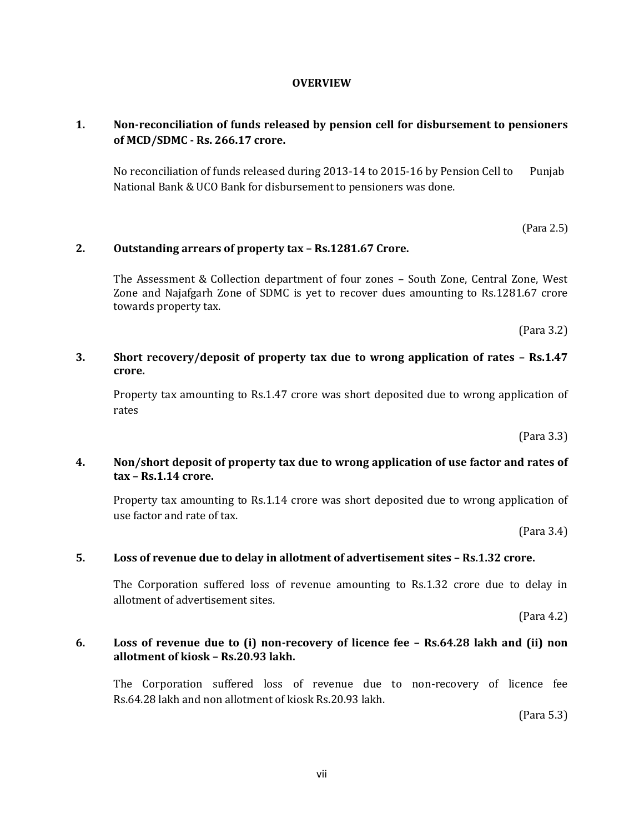#### **OVERVIEW**

# **1. Non-reconciliation of funds released by pension cell for disbursement to pensioners of MCD/SDMC - Rs. 266.17 crore.**

No reconciliation of funds released during 2013-14 to 2015-16 by Pension Cell to Punjab National Bank & UCO Bank for disbursement to pensioners was done.

(Para 2.5)

## **2. Outstanding arrears of property tax – Rs.1281.67 Crore.**

The Assessment & Collection department of four zones – South Zone, Central Zone, West Zone and Najafgarh Zone of SDMC is yet to recover dues amounting to Rs.1281.67 crore towards property tax.

(Para 3.2)

#### **3. Short recovery/deposit of property tax due to wrong application of rates – Rs.1.47 crore.**

Property tax amounting to Rs.1.47 crore was short deposited due to wrong application of rates

(Para 3.3)

## **4. Non/short deposit of property tax due to wrong application of use factor and rates of tax – Rs.1.14 crore.**

Property tax amounting to Rs.1.14 crore was short deposited due to wrong application of use factor and rate of tax.

(Para 3.4)

#### **5. Loss of revenue due to delay in allotment of advertisement sites – Rs.1.32 crore.**

The Corporation suffered loss of revenue amounting to Rs.1.32 crore due to delay in allotment of advertisement sites.

(Para 4.2)

#### **6. Loss of revenue due to (i) non-recovery of licence fee – Rs.64.28 lakh and (ii) non allotment of kiosk – Rs.20.93 lakh.**

The Corporation suffered loss of revenue due to non-recovery of licence fee Rs.64.28 lakh and non allotment of kiosk Rs.20.93 lakh.

(Para 5.3)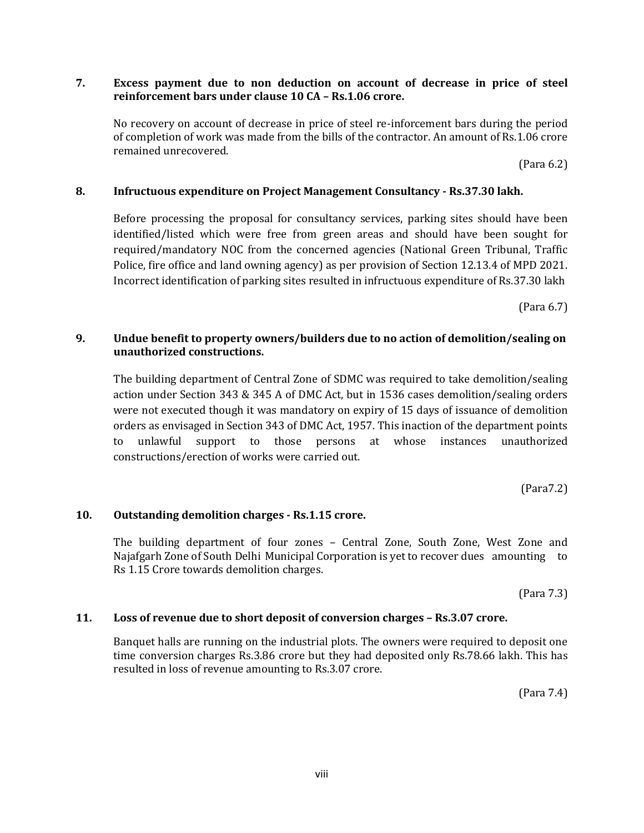## **7. Excess payment due to non deduction on account of decrease in price of steel reinforcement bars under clause 10 CA – Rs.1.06 crore.**

No recovery on account of decrease in price of steel re-inforcement bars during the period of completion of work was made from the bills of the contractor. An amount of Rs.1.06 crore remained unrecovered.

(Para 6.2)

## **8. Infructuous expenditure on Project Management Consultancy - Rs.37.30 lakh.**

Before processing the proposal for consultancy services, parking sites should have been identified/listed which were free from green areas and should have been sought for required/mandatory NOC from the concerned agencies (National Green Tribunal, Traffic Police, fire office and land owning agency) as per provision of Section 12.13.4 of MPD 2021. Incorrect identification of parking sites resulted in infructuous expenditure of Rs.37.30 lakh

(Para 6.7)

## **9. Undue benefit to property owners/builders due to no action of demolition/sealing on unauthorized constructions.**

The building department of Central Zone of SDMC was required to take demolition/sealing action under Section 343 & 345 A of DMC Act, but in 1536 cases demolition/sealing orders were not executed though it was mandatory on expiry of 15 days of issuance of demolition orders as envisaged in Section 343 of DMC Act, 1957. This inaction of the department points to unlawful support to those persons at whose instances unauthorized constructions/erection of works were carried out.

(Para7.2)

## **10. Outstanding demolition charges - Rs.1.15 crore.**

The building department of four zones – Central Zone, South Zone, West Zone and Najafgarh Zone of South Delhi Municipal Corporation is yet to recover dues amounting to Rs 1.15 Crore towards demolition charges.

(Para 7.3)

## **11. Loss of revenue due to short deposit of conversion charges – Rs.3.07 crore.**

Banquet halls are running on the industrial plots. The owners were required to deposit one time conversion charges Rs.3.86 crore but they had deposited only Rs.78.66 lakh. This has resulted in loss of revenue amounting to Rs.3.07 crore.

(Para 7.4)